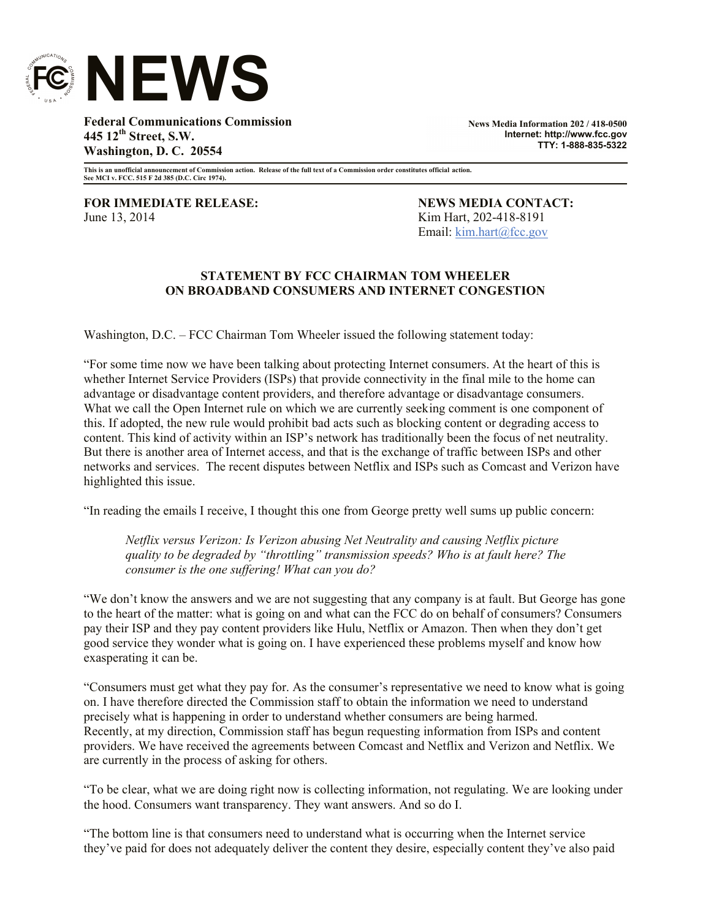

**Federal Communications Commission 445 12th Street, S.W. Washington, D. C. 20554**

**News Media Information 202 / 418-0500 Internet: http://www.fcc.gov TTY: 1-888-835-5322**

**This is an unofficial announcement of Commission action. Release of the full text of a Commission order constitutes official action. See MCI v. FCC. 515 F 2d 385 (D.C. Circ 1974).**

**FOR IMMEDIATE RELEASE: NEWS MEDIA CONTACT:** June 13, 2014 Kim Hart, 202-418-8191

Email: kim.hart@fcc.gov

## **STATEMENT BY FCC CHAIRMAN TOM WHEELER ON BROADBAND CONSUMERS AND INTERNET CONGESTION**

Washington, D.C. – FCC Chairman Tom Wheeler issued the following statement today:

"For some time now we have been talking about protecting Internet consumers. At the heart of this is whether Internet Service Providers (ISPs) that provide connectivity in the final mile to the home can advantage or disadvantage content providers, and therefore advantage or disadvantage consumers. What we call the Open Internet rule on which we are currently seeking comment is one component of this. If adopted, the new rule would prohibit bad acts such as blocking content or degrading access to content. This kind of activity within an ISP's network has traditionally been the focus of net neutrality. But there is another area of Internet access, and that is the exchange of traffic between ISPs and other networks and services. The recent disputes between Netflix and ISPs such as Comcast and Verizon have highlighted this issue.

"In reading the emails I receive, I thought this one from George pretty well sums up public concern:

*Netflix versus Verizon: Is Verizon abusing Net Neutrality and causing Netflix picture quality to be degraded by "throttling" transmission speeds? Who is at fault here? The consumer is the one suffering! What can you do?*

"We don't know the answers and we are not suggesting that any company is at fault. But George has gone to the heart of the matter: what is going on and what can the FCC do on behalf of consumers? Consumers pay their ISP and they pay content providers like Hulu, Netflix or Amazon. Then when they don't get good service they wonder what is going on. I have experienced these problems myself and know how exasperating it can be.

"Consumers must get what they pay for. As the consumer's representative we need to know what is going on. I have therefore directed the Commission staff to obtain the information we need to understand precisely what is happening in order to understand whether consumers are being harmed. Recently, at my direction, Commission staff has begun requesting information from ISPs and content providers. We have received the agreements between Comcast and Netflix and Verizon and Netflix. We are currently in the process of asking for others.

"To be clear, what we are doing right now is collecting information, not regulating. We are looking under the hood. Consumers want transparency. They want answers. And so do I.

"The bottom line is that consumers need to understand what is occurring when the Internet service they've paid for does not adequately deliver the content they desire, especially content they've also paid